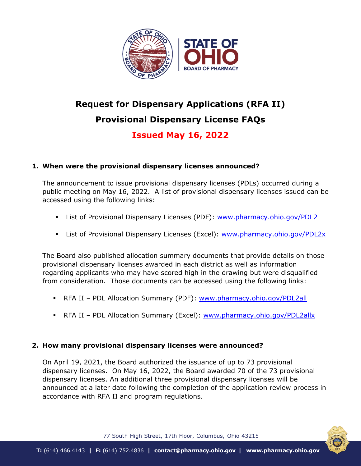

# **Request for Dispensary Applications (RFA II) Provisional Dispensary License FAQs**

# **Issued May 16, 2022**

# **1. When were the provisional dispensary licenses announced?**

The announcement to issue provisional dispensary licenses (PDLs) occurred during a public meeting on May 16, 2022. A list of provisional dispensary licenses issued can be accessed using the following links:

- List of Provisional Dispensary Licenses (PDF): [www.pharmacy.ohio.gov/PDL2](http://www.pharmacy.ohio.gov/PDL2)
- List of Provisional Dispensary Licenses (Excel): [www.pharmacy.ohio.gov/PDL2x](http://www.pharmacy.ohio.gov/PDL2x)

The Board also published allocation summary documents that provide details on those provisional dispensary licenses awarded in each district as well as information regarding applicants who may have scored high in the drawing but were disqualified from consideration. Those documents can be accessed using the following links:

- RFA II PDL Allocation Summary (PDF): [www.pharmacy.ohio.gov/PDL2all](http://www.pharmacy.ohio.gov/PDL2all)
- RFA II PDL Allocation Summary (Excel): [www.pharmacy.ohio.gov/PDL2allx](http://www.pharmacy.ohio.gov/PDL2allx)

## **2. How many provisional dispensary licenses were announced?**

On April 19, 2021, the Board authorized the issuance of up to 73 provisional dispensary licenses. On May 16, 2022, the Board awarded 70 of the 73 provisional dispensary licenses. An additional three provisional dispensary licenses will be announced at a later date following the completion of the application review process in accordance with RFA II and program regulations.



77 South High Street, 17th Floor, Columbus, Ohio 43215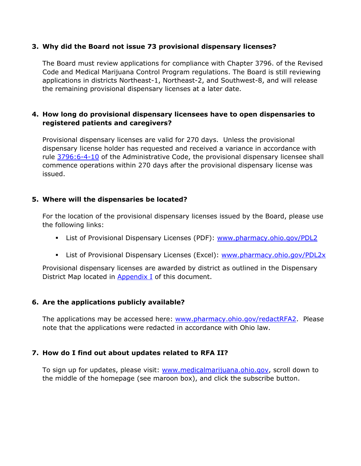#### **3. Why did the Board not issue 73 provisional dispensary licenses?**

The Board must review applications for compliance with Chapter 3796. of the Revised Code and Medical Marijuana Control Program regulations. The Board is still reviewing applications in districts Northeast-1, Northeast-2, and Southwest-8, and will release the remaining provisional dispensary licenses at a later date.

#### **4. How long do provisional dispensary licensees have to open dispensaries to registered patients and caregivers?**

Provisional dispensary licenses are valid for 270 days. Unless the provisional dispensary license holder has requested and received a variance in accordance with rule [3796:6-4-10](https://codes.ohio.gov/ohio-administrative-code/rule-3796:6-4-10) of the Administrative Code, the provisional dispensary licensee shall commence operations within 270 days after the provisional dispensary license was issued.

#### **5. Where will the dispensaries be located?**

For the location of the provisional dispensary licenses issued by the Board, please use the following links:

- **E** List of Provisional Dispensary Licenses (PDF): [www.pharmacy.ohio.gov/PDL2](http://www.pharmacy.ohio.gov/PDL2)
- List of Provisional Dispensary Licenses (Excel): [www.pharmacy.ohio.gov/PDL2x](http://www.pharmacy.ohio.gov/PDL2x)

Provisional dispensary licenses are awarded by district as outlined in the Dispensary District Map located in [Appendix I](#page-3-0) of this document.

#### **6. Are the applications publicly available?**

The applications may be accessed here: [www.pharmacy.ohio.gov/redactRFA2.](http://www.pharmacy.ohio.gov/redactRFA2) Please note that the applications were redacted in accordance with Ohio law.

#### **7. How do I find out about updates related to RFA II?**

To sign up for updates, please visit: [www.medicalmarijuana.ohio.gov,](http://www.medicalmarijuana.ohio.gov/) scroll down to the middle of the homepage (see maroon box), and click the subscribe button.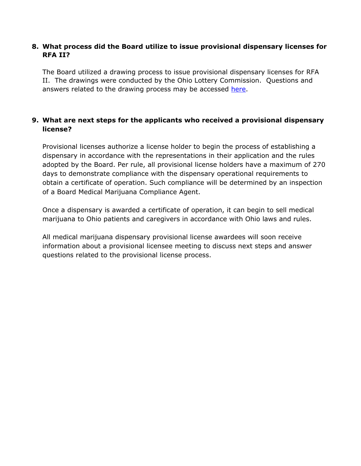#### **8. What process did the Board utilize to issue provisional dispensary licenses for RFA II?**

The Board utilized a drawing process to issue provisional dispensary licenses for RFA II. The drawings were conducted by the Ohio Lottery Commission. Questions and answers related to the drawing process may be accessed [here.](https://www.medicalmarijuana.ohio.gov/Documents/LicenseeResources/Dispensary%20Licensee%20Resources/2021-2022%20RFA%20II%20APPLICATION%20MATERIALS/2021%20Request%20for%20Dispensary%20Applications%20(RFA%20II)%20-%20Dispensary%20Drawing%20FAQs.pdf)

### **9. What are next steps for the applicants who received a provisional dispensary license?**

Provisional licenses authorize a license holder to begin the process of establishing a dispensary in accordance with the representations in their application and the rules adopted by the Board. Per rule, all provisional license holders have a maximum of 270 days to demonstrate compliance with the dispensary operational requirements to obtain a certificate of operation. Such compliance will be determined by an inspection of a Board Medical Marijuana Compliance Agent.

Once a dispensary is awarded a certificate of operation, it can begin to sell medical marijuana to Ohio patients and caregivers in accordance with Ohio laws and rules.

All medical marijuana dispensary provisional license awardees will soon receive information about a provisional licensee meeting to discuss next steps and answer questions related to the provisional license process.